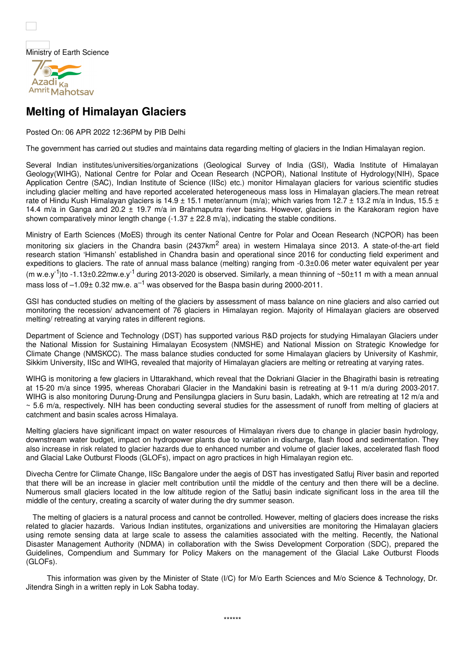Ministry of Earth Science



## **Melting of Himalayan Glaciers**

Posted On: 06 APR 2022 12:36PM by PIB Delhi

The government has carried out studies and maintains data regarding melting of glaciers in the Indian Himalayan region.

Several Indian institutes/universities/organizations (Geological Survey of India (GSI), Wadia Institute of Himalayan Geology(WIHG), National Centre for Polar and Ocean Research (NCPOR), National Institute of Hydrology(NIH), Space Application Centre (SAC), Indian Institute of Science (IISc) etc.) monitor Himalayan glaciers for various scientific studies including glacier melting and have reported accelerated heterogeneous mass loss in Himalayan glaciers.The mean retreat rate of Hindu Kush Himalayan glaciers is 14.9  $\pm$  15.1 meter/annum (m/a); which varies from 12.7  $\pm$  13.2 m/a in Indus, 15.5  $\pm$ 14.4 m/a in Ganga and 20.2 ± 19.7 m/a in Brahmaputra river basins. However, glaciers in the Karakoram region have shown comparatively minor length change  $(-1.37 \pm 22.8 \text{ m/a})$ , indicating the stable conditions.

Ministry of Earth Sciences (MoES) through its center National Centre for Polar and Ocean Research (NCPOR) has been monitoring six glaciers in the Chandra basin (2437km<sup>2</sup> area) in western Himalaya since 2013. A state-of-the-art field research station 'Himansh' established in Chandra basin and operational since 2016 for conducting field experiment and expeditions to glaciers. The rate of annual mass balance (melting) ranging from -0.3±0.06 meter water equivalent per year (m w.e.y<sup>-1</sup>)to -1.13±0.22mw.e.y<sup>-1</sup> during 2013-2020 is observed. Similarly, a mean thinning of ~50±11 m with a mean annual mass loss of  $-1.09\pm$  0.32 mw.e.  $a^{-1}$  was observed for the Baspa basin during 2000-2011.

GSI has conducted studies on melting of the glaciers by assessment of mass balance on nine glaciers and also carried out monitoring the recession/ advancement of 76 glaciers in Himalayan region. Majority of Himalayan glaciers are observed melting/ retreating at varying rates in different regions.

Department of Science and Technology (DST) has supported various R&D projects for studying Himalayan Glaciers under the National Mission for Sustaining Himalayan Ecosystem (NMSHE) and National Mission on Strategic Knowledge for Climate Change (NMSKCC). The mass balance studies conducted for some Himalayan glaciers by University of Kashmir, Sikkim University, IISc and WIHG, revealed that majority of Himalayan glaciers are melting or retreating at varying rates.

WIHG is monitoring a few glaciers in Uttarakhand, which reveal that the Dokriani Glacier in the Bhagirathi basin is retreating at 15-20 m/a since 1995, whereas Chorabari Glacier in the Mandakini basin is retreating at 9-11 m/a during 2003-2017. WIHG is also monitoring Durung-Drung and Pensilungpa glaciers in Suru basin, Ladakh, which are retreating at 12 m/a and  $\sim$  5.6 m/a, respectively. NIH has been conducting several studies for the assessment of runoff from melting of glaciers at catchment and basin scales across Himalaya.

Melting glaciers have significant impact on water resources of Himalayan rivers due to change in glacier basin hydrology, downstream water budget, impact on hydropower plants due to variation in discharge, flash flood and sedimentation. They also increase in risk related to glacier hazards due to enhanced number and volume of glacier lakes, accelerated flash flood and Glacial Lake Outburst Floods (GLOFs), impact on agro practices in high Himalayan region etc.

Divecha Centre for Climate Change, IISc Bangalore under the aegis of DST has investigated Satluj River basin and reported that there will be an increase in glacier melt contribution until the middle of the century and then there will be a decline. Numerous small glaciers located in the low altitude region of the Satluj basin indicate significant loss in the area till the middle of the century, creating a scarcity of water during the dry summer season.

The melting of glaciers is a natural process and cannot be controlled. However, melting of glaciers does increase the risks related to glacier hazards. Various Indian institutes, organizations and universities are monitoring the Himalayan glaciers using remote sensing data at large scale to assess the calamities associated with the melting. Recently, the National Disaster Management Authority (NDMA) in collaboration with the Swiss Development Corporation (SDC), prepared the Guidelines, Compendium and Summary for Policy Makers on the management of the Glacial Lake Outburst Floods (GLOFs).

This information was given by the Minister of State (I/C) for M/o Earth Sciences and M/o Science & Technology, Dr. Jitendra Singh in a written reply in Lok Sabha today.